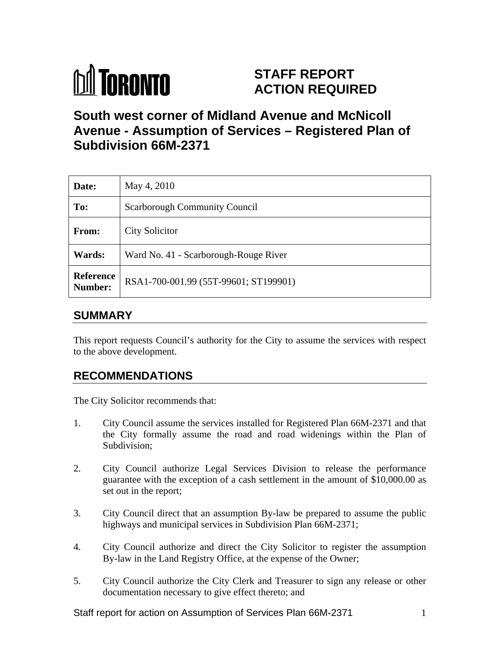

# **STAFF REPORT ACTION REQUIRED**

# **South west corner of Midland Avenue and McNicoll Avenue - Assumption of Services – Registered Plan of Subdivision 66M-2371**

| Date:         | May 4, 2010                                            |
|---------------|--------------------------------------------------------|
| To:           | <b>Scarborough Community Council</b>                   |
| From:         | <b>City Solicitor</b>                                  |
| <b>Wards:</b> | Ward No. 41 - Scarborough-Rouge River                  |
|               | <b>Reference</b> RSA1-700-001.99 (55T-99601; ST199901) |

## **SUMMARY**

This report requests Council's authority for the City to assume the services with respect to the above development.

## **RECOMMENDATIONS**

The City Solicitor recommends that:

- 1. City Council assume the services installed for Registered Plan 66M-2371 and that the City formally assume the road and road widenings within the Plan of Subdivision; Subdivision; Subdivision; Subdivision; Subdivision; Subdivision; Subdivision; Subdivision; Subdivision; Subdivision; Subdivision; Subdivision; Subdivision; Subdivision; Subdivision; Subdivision; Subdivision; S
- 2. City Council authorize Legal Services Division to release the performance guarantee with the exception of a cash settlement in the amount of \$10,000.00 as set out in the report;
- 3. City Council direct that an assumption By-law be prepared to assume the public highways and municipal services in Subdivision Plan 66M-2371;
- 4. City Council authorize and direct the City Solicitor to register the assumption By-law in the Land Registry Office, at the expense of the Owner;
- 5. City Council authorize the City Clerk and Treasurer to sign any release or other documentation necessary to give effect thereto; and

Staff report for action on Assumption of Services Plan 66M-2371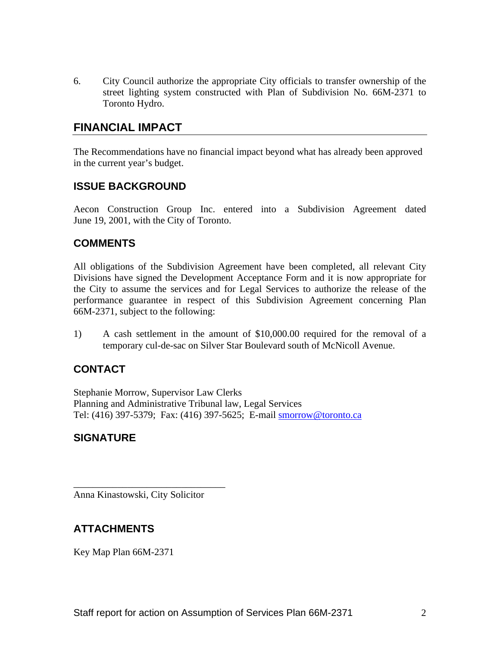6. City Council authorize the appropriate City officials to transfer ownership of the street lighting system constructed with Plan of Subdivision No. 66M-2371 to Toronto Hydro.

## **FINANCIAL IMPACT**

The Recommendations have no financial impact beyond what has already been approved in the current year's budget.

#### **ISSUE BACKGROUND**

Aecon Construction Group Inc. entered into a Subdivision Agreement dated June 19, 2001, with the City of Toronto.

#### **COMMENTS**

All obligations of the Subdivision Agreement have been completed, all relevant City Divisions have signed the Development Acceptance Form and it is now appropriate for the City to assume the services and for Legal Services to authorize the release of the performance guarantee in respect of this Subdivision Agreement concerning Plan 66M-2371, subject to the following:

1) A cash settlement in the amount of \$10,000.00 required for the removal of a temporary cul-de-sac on Silver Star Boulevard south of McNicoll Avenue.

### **CONTACT**

Stephanie Morrow, Supervisor Law Clerks Planning and Administrative Tribunal law, Legal Services Tel: (416) 397-5379; Fax: (416) 397-5625; E-mail smorrow@toronto.ca

#### **SIGNATURE**

Anna Kinastowski, City Solicitor

### **ATTACHMENTS**

Key Map Plan 66M-2371

 $\overline{\phantom{a}}$  , we can assume that the contract of the contract of the contract of the contract of the contract of the contract of the contract of the contract of the contract of the contract of the contract of the contract